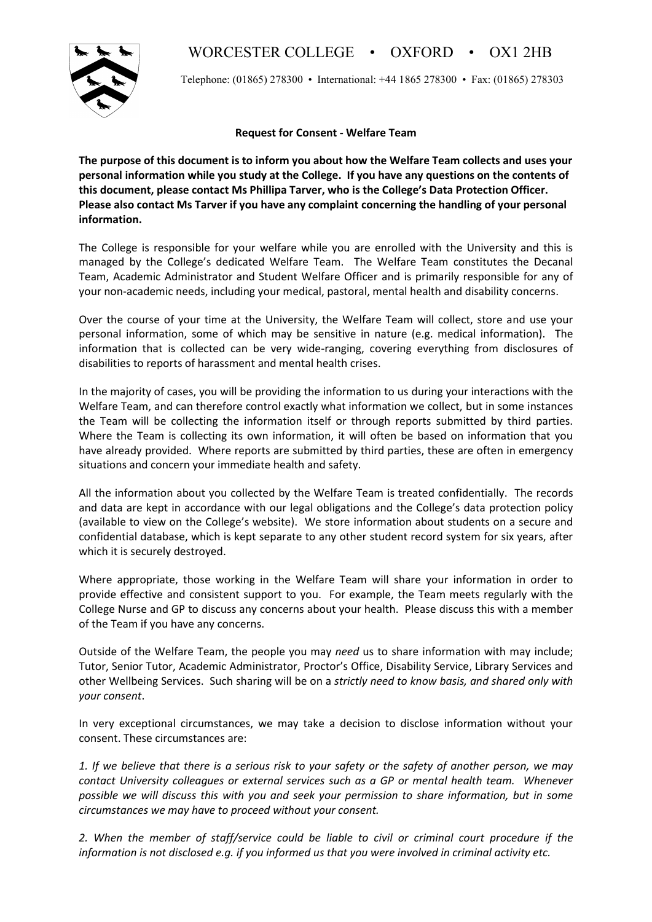## WORCESTER COLLEGE • OXFORD • OX1 2HB



Telephone: (01865) 278300 • International: +44 1865 278300 • Fax: (01865) 278303

## **Request for Consent - Welfare Team**

**The purpose of this document is to inform you about how the Welfare Team collects and uses your personal information while you study at the College. If you have any questions on the contents of this document, please contact Ms Phillipa Tarver, who is the College's Data Protection Officer. Please also contact Ms Tarver if you have any complaint concerning the handling of your personal information.**

The College is responsible for your welfare while you are enrolled with the University and this is managed by the College's dedicated Welfare Team. The Welfare Team constitutes the Decanal Team, Academic Administrator and Student Welfare Officer and is primarily responsible for any of your non-academic needs, including your medical, pastoral, mental health and disability concerns.

Over the course of your time at the University, the Welfare Team will collect, store and use your personal information, some of which may be sensitive in nature (e.g. medical information). The information that is collected can be very wide-ranging, covering everything from disclosures of disabilities to reports of harassment and mental health crises.

In the majority of cases, you will be providing the information to us during your interactions with the Welfare Team, and can therefore control exactly what information we collect, but in some instances the Team will be collecting the information itself or through reports submitted by third parties. Where the Team is collecting its own information, it will often be based on information that you have already provided. Where reports are submitted by third parties, these are often in emergency situations and concern your immediate health and safety.

All the information about you collected by the Welfare Team is treated confidentially. The records and data are kept in accordance with our legal obligations and the College's data protection policy (available to view on the College's website). We store information about students on a secure and confidential database, which is kept separate to any other student record system for six years, after which it is securely destroyed.

Where appropriate, those working in the Welfare Team will share your information in order to provide effective and consistent support to you. For example, the Team meets regularly with the College Nurse and GP to discuss any concerns about your health. Please discuss this with a member of the Team if you have any concerns.

Outside of the Welfare Team, the people you may *need* us to share information with may include; Tutor, Senior Tutor, Academic Administrator, Proctor's Office, Disability Service, Library Services and other Wellbeing Services. Such sharing will be on a *strictly need to know basis, and shared only with your consent*.

In very exceptional circumstances, we may take a decision to disclose information without your consent. These circumstances are:

*1. If we believe that there is a serious risk to your safety or the safety of another person, we may contact University colleagues or external services such as a GP or mental health team. Whenever possible we will discuss this with you and seek your permission to share information, but in some circumstances we may have to proceed without your consent.* 

*2. When the member of staff/service could be liable to civil or criminal court procedure if the information is not disclosed e.g. if you informed us that you were involved in criminal activity etc.*